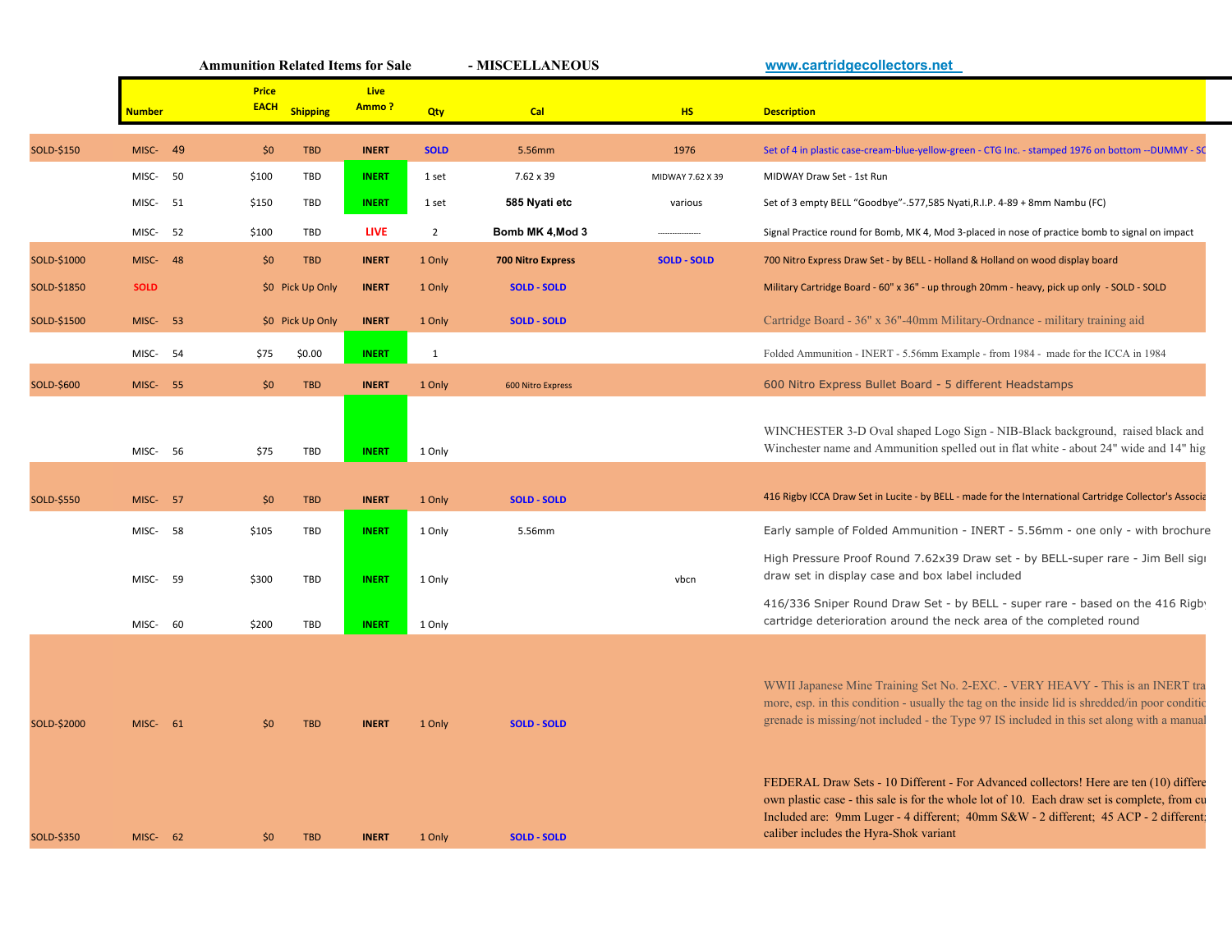|             |                 | <b>Ammunition Related Items for Sale</b> |                  |               | - MISCELLANEOUS |                          | www.cartridgecollectors.net |                                                                                                                                                                                                                                                                                                                        |
|-------------|-----------------|------------------------------------------|------------------|---------------|-----------------|--------------------------|-----------------------------|------------------------------------------------------------------------------------------------------------------------------------------------------------------------------------------------------------------------------------------------------------------------------------------------------------------------|
|             | <b>Number</b>   | <b>Price</b><br><b>EACH</b>              | <b>Shipping</b>  | Live<br>Ammo? | Qty             | Cal                      | <b>HS</b>                   | <b>Description</b>                                                                                                                                                                                                                                                                                                     |
| SOLD-\$150  | 49<br>MISC-     | \$0                                      | <b>TBD</b>       | <b>INERT</b>  | <b>SOLD</b>     | 5.56mm                   | 1976                        | Set of 4 in plastic case-cream-blue-yellow-green - CTG Inc. - stamped 1976 on bottom --DUMMY - SC                                                                                                                                                                                                                      |
|             | 50<br>MISC-     | \$100                                    | TBD              | <b>INERT</b>  | 1 set           | 7.62 x 39                | MIDWAY 7.62 X 39            | MIDWAY Draw Set - 1st Run                                                                                                                                                                                                                                                                                              |
|             | MISC-<br>- 51   | \$150                                    | TBD              | <b>INERT</b>  | 1 set           | 585 Nyati etc            | various                     | Set of 3 empty BELL "Goodbye"-.577,585 Nyati, R.I.P. 4-89 + 8mm Nambu (FC)                                                                                                                                                                                                                                             |
|             | MISC-<br>52     | \$100                                    | TBD              | <b>LIVE</b>   | $\overline{2}$  | Bomb MK 4, Mod 3         |                             | Signal Practice round for Bomb, MK 4, Mod 3-placed in nose of practice bomb to signal on impact                                                                                                                                                                                                                        |
| SOLD-\$1000 | MISC- 48        | \$0                                      | <b>TBD</b>       | <b>INERT</b>  | 1 Only          | <b>700 Nitro Express</b> | <b>SOLD - SOLD</b>          | 700 Nitro Express Draw Set - by BELL - Holland & Holland on wood display board                                                                                                                                                                                                                                         |
| SOLD-\$1850 | <b>SOLD</b>     |                                          | \$0 Pick Up Only | <b>INERT</b>  | 1 Only          | <b>SOLD - SOLD</b>       |                             | Military Cartridge Board - 60" x 36" - up through 20mm - heavy, pick up only - SOLD - SOLD                                                                                                                                                                                                                             |
| SOLD-\$1500 | MISC-<br>- 53   |                                          | \$0 Pick Up Only | <b>INERT</b>  | 1 Only          | <b>SOLD - SOLD</b>       |                             | Cartridge Board - 36" x 36"-40mm Military-Ordnance - military training aid                                                                                                                                                                                                                                             |
|             | MISC-<br>54     | \$75                                     | \$0.00           | <b>INERT</b>  | $\mathbf{1}$    |                          |                             | Folded Ammunition - INERT - 5.56mm Example - from 1984 - made for the ICCA in 1984                                                                                                                                                                                                                                     |
| SOLD-\$600  | <b>MISC- 55</b> | \$0                                      | <b>TBD</b>       | <b>INERT</b>  | 1 Only          | 600 Nitro Express        |                             | 600 Nitro Express Bullet Board - 5 different Headstamps                                                                                                                                                                                                                                                                |
|             | MISC- 56        | \$75                                     | TBD              | <b>INERT</b>  | 1 Only          |                          |                             | WINCHESTER 3-D Oval shaped Logo Sign - NIB-Black background, raised black and<br>Winchester name and Ammunition spelled out in flat white - about 24" wide and 14" hig                                                                                                                                                 |
|             |                 |                                          |                  |               |                 |                          |                             |                                                                                                                                                                                                                                                                                                                        |
| SOLD-\$550  | MISC-<br>- 57   | \$0                                      | <b>TBD</b>       | <b>INERT</b>  | 1 Only          | <b>SOLD - SOLD</b>       |                             | 416 Rigby ICCA Draw Set in Lucite - by BELL - made for the International Cartridge Collector's Associa                                                                                                                                                                                                                 |
|             | MISC-<br>58     | \$105                                    | TBD              | <b>INERT</b>  | 1 Only          | 5.56mm                   |                             | Early sample of Folded Ammunition - INERT - 5.56mm - one only - with brochure                                                                                                                                                                                                                                          |
|             | MISC-<br>- 59   | \$300                                    | TBD              | <b>INERT</b>  | 1 Only          |                          | vbcn                        | High Pressure Proof Round 7.62x39 Draw set - by BELL-super rare - Jim Bell sigi<br>draw set in display case and box label included                                                                                                                                                                                     |
|             | MISC-<br>60     | \$200                                    | TBD              | <b>INERT</b>  | 1 Only          |                          |                             | 416/336 Sniper Round Draw Set - by BELL - super rare - based on the 416 Rigby<br>cartridge deterioration around the neck area of the completed round                                                                                                                                                                   |
|             |                 |                                          |                  |               |                 |                          |                             |                                                                                                                                                                                                                                                                                                                        |
| SOLD-\$2000 | MISC- 61        | \$0                                      | <b>TBD</b>       | <b>INERT</b>  | 1 Only          | <b>SOLD - SOLD</b>       |                             | WWII Japanese Mine Training Set No. 2-EXC. - VERY HEAVY - This is an INERT tra<br>more, esp. in this condition - usually the tag on the inside lid is shredded/in poor condition-<br>grenade is missing/not included - the Type 97 IS included in this set along with a manual                                         |
| SOLD-\$350  | MISC- 62        | \$0                                      | <b>TBD</b>       | <b>INERT</b>  | 1 Only          | <b>SOLD - SOLD</b>       |                             | FEDERAL Draw Sets - 10 Different - For Advanced collectors! Here are ten (10) differe<br>own plastic case - this sale is for the whole lot of 10. Each draw set is complete, from cu<br>Included are: 9mm Luger - 4 different; 40mm S&W - 2 different; 45 ACP - 2 different;<br>caliber includes the Hyra-Shok variant |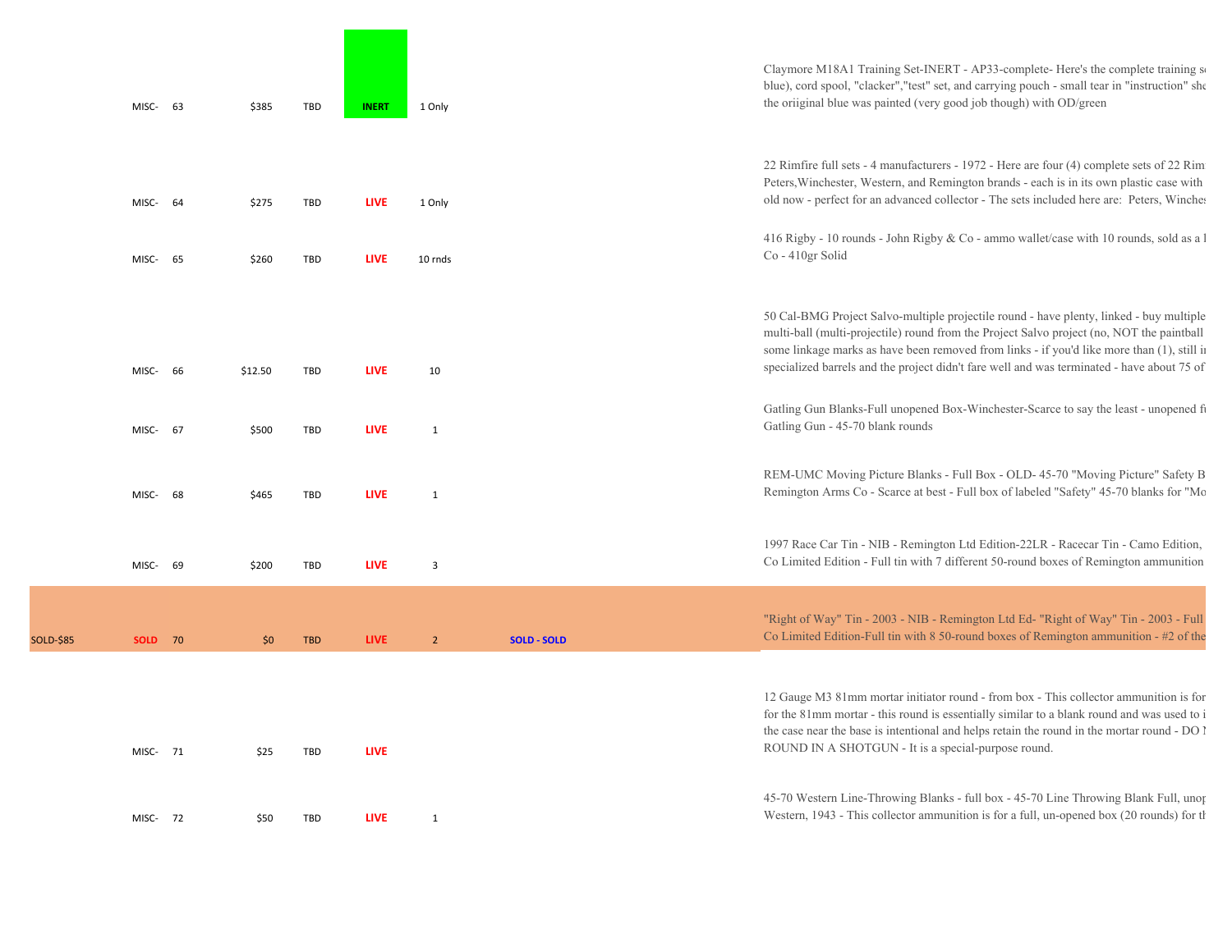|           | MISC-          | 63 | \$385   | <b>TBD</b> | <b>INERT</b> | 1 Only         |                    | Claymore M18A1 Training Set-INERT - AP33-complete-Here's the complete training so<br>blue), cord spool, "clacker", "test" set, and carrying pouch - small tear in "instruction" she<br>the oriiginal blue was painted (very good job though) with OD/green                                                                                                                       |
|-----------|----------------|----|---------|------------|--------------|----------------|--------------------|----------------------------------------------------------------------------------------------------------------------------------------------------------------------------------------------------------------------------------------------------------------------------------------------------------------------------------------------------------------------------------|
|           | MISC-          | 64 | \$275   | <b>TBD</b> | <b>LIVE</b>  | 1 Only         |                    | 22 Rimfire full sets - 4 manufacturers - 1972 - Here are four (4) complete sets of 22 Rim<br>Peters, Winchester, Western, and Remington brands - each is in its own plastic case with<br>old now - perfect for an advanced collector - The sets included here are: Peters, Winches                                                                                               |
|           | MISC-          | 65 | \$260   | <b>TBD</b> | <b>LIVE</b>  | 10 rnds        |                    | 416 Rigby - 10 rounds - John Rigby & Co - ammo wallet/case with 10 rounds, sold as a 1<br>Co - 410gr Solid                                                                                                                                                                                                                                                                       |
|           | MISC-          | 66 | \$12.50 | TBD        | <b>LIVE</b>  | 10             |                    | 50 Cal-BMG Project Salvo-multiple projectile round - have plenty, linked - buy multiple<br>multi-ball (multi-projectile) round from the Project Salvo project (no, NOT the paintball<br>some linkage marks as have been removed from links - if you'd like more than (1), still in<br>specialized barrels and the project didn't fare well and was terminated - have about 75 of |
|           | MISC-          | 67 | \$500   | TBD        | <b>LIVE</b>  | $\mathbf{1}$   |                    | Gatling Gun Blanks-Full unopened Box-Winchester-Scarce to say the least - unopened fi<br>Gatling Gun - 45-70 blank rounds                                                                                                                                                                                                                                                        |
|           | MISC-          | 68 | \$465   | <b>TBD</b> | <b>LIVE</b>  | $\mathbf{1}$   |                    | REM-UMC Moving Picture Blanks - Full Box - OLD-45-70 "Moving Picture" Safety B<br>Remington Arms Co - Scarce at best - Full box of labeled "Safety" 45-70 blanks for "Mo                                                                                                                                                                                                         |
|           | MISC-          | 69 | \$200   | <b>TBD</b> | <b>LIVE</b>  | 3              |                    | 1997 Race Car Tin - NIB - Remington Ltd Edition-22LR - Racecar Tin - Camo Edition,<br>Co Limited Edition - Full tin with 7 different 50-round boxes of Remington ammunition                                                                                                                                                                                                      |
| SOLD-\$85 | <b>SOLD</b> 70 |    | \$0     | <b>TBD</b> | <b>LIVE</b>  | $\overline{2}$ | <b>SOLD - SOLD</b> | "Right of Way" Tin - 2003 - NIB - Remington Ltd Ed- "Right of Way" Tin - 2003 - Full<br>Co Limited Edition-Full tin with $8\,50$ -round boxes of Remington ammunition - #2 of the                                                                                                                                                                                                |
|           | MISC- 71       |    | \$25    | <b>TBD</b> | <b>LIVE</b>  |                |                    | 12 Gauge M3 81mm mortar initiator round - from box - This collector ammunition is for<br>for the 81mm mortar - this round is essentially similar to a blank round and was used to i<br>the case near the base is intentional and helps retain the round in the mortar round - DO I<br>ROUND IN A SHOTGUN - It is a special-purpose round.                                        |
|           | MISC- 72       |    | \$50    | <b>TBD</b> | <b>LIVE</b>  | $\mathbf{1}$   |                    | 45-70 Western Line-Throwing Blanks - full box - 45-70 Line Throwing Blank Full, unor<br>Western, 1943 - This collector ammunition is for a full, un-opened box (20 rounds) for the                                                                                                                                                                                               |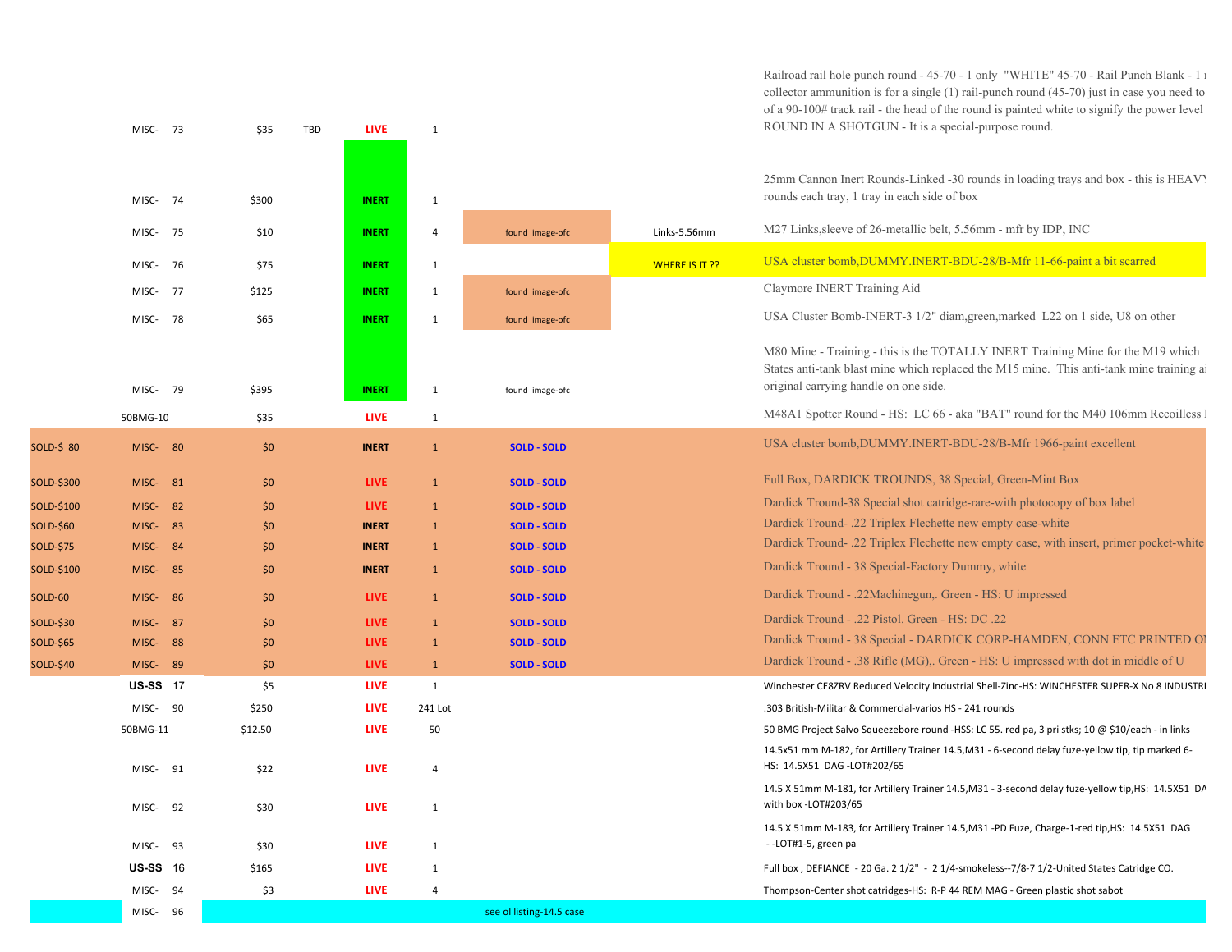Railroad rail hole punch round - 45-70 - 1 only "WHITE" 45-70 - Rail Punch Blank - 1 r collector ammunition is for a single (1) rail-punch round (45-70) just in case you need to of a 90-100# track rail - the head of the round is painted white to signify the power level ROUND IN A SHOTGUN - It is a special-purpose round.

25mm Cannon Inert Rounds-Linked -30 rounds in loading trays and box - this is HEAVY rounds each tray, 1 tray in each side of box

|                  | MISC- 75        |     | \$10         | <b>INERT</b> | $\overline{4}$ | found image-ofc          | Links-5.56mm   | M27 Links, sleeve of 26-metallic belt, 5.56mm - mfr by IDP, INC                                                                                                                                                     |
|------------------|-----------------|-----|--------------|--------------|----------------|--------------------------|----------------|---------------------------------------------------------------------------------------------------------------------------------------------------------------------------------------------------------------------|
|                  | MISC-           | 76  | \$75         | <b>INERT</b> | $\mathbf{1}$   |                          | WHERE IS IT ?? | USA cluster bomb, DUMMY. INERT-BDU-28/B-Mfr 11-66-paint a bit scarred                                                                                                                                               |
|                  | MISC-           | 77  | \$125        | <b>INERT</b> | 1              | found image-ofc          |                | Claymore INERT Training Aid                                                                                                                                                                                         |
|                  | MISC-           | 78  | \$65         | <b>INERT</b> | 1              | found image-ofc          |                | USA Cluster Bomb-INERT-3 1/2" diam, green, marked L22 on 1 side, U8 on other                                                                                                                                        |
|                  | MISC- 79        |     | \$395        | <b>INERT</b> | 1              | found image-ofc          |                | M80 Mine - Training - this is the TOTALLY INERT Training Mine for the M19 which<br>States anti-tank blast mine which replaced the M15 mine. This anti-tank mine training a<br>original carrying handle on one side. |
|                  | 50BMG-10        |     | \$35         | <b>LIVE</b>  | 1              |                          |                | M48A1 Spotter Round - HS: LC 66 - aka "BAT" round for the M40 106mm Recoilless                                                                                                                                      |
| SOLD-\$ 80       | MISC- 80        |     | \$0          | <b>INERT</b> | $\mathbf{1}$   | <b>SOLD - SOLD</b>       |                | USA cluster bomb, DUMMY.INERT-BDU-28/B-Mfr 1966-paint excellent                                                                                                                                                     |
| SOLD-\$300       | MISC-           | 81  | \$0          | <b>LIVE</b>  | $\mathbf{1}$   | <b>SOLD - SOLD</b>       |                | Full Box, DARDICK TROUNDS, 38 Special, Green-Mint Box                                                                                                                                                               |
| SOLD-\$100       | <b>MISC-</b> 82 |     | \$0          | <b>LIVE</b>  | $\mathbf{1}$   | <b>SOLD - SOLD</b>       |                | Dardick Tround-38 Special shot catridge-rare-with photocopy of box label                                                                                                                                            |
| SOLD-\$60        | MISC- 83        |     | $50^{\circ}$ | <b>INERT</b> | $\mathbf{1}$   | <b>SOLD - SOLD</b>       |                | Dardick Tround- .22 Triplex Flechette new empty case-white                                                                                                                                                          |
| SOLD-\$75        | MISC- 84        |     | \$0          | <b>INERT</b> | <sup>1</sup>   | <b>SOLD - SOLD</b>       |                | Dardick Tround- .22 Triplex Flechette new empty case, with insert, primer pocket-white                                                                                                                              |
| SOLD-\$100       | MISC-           | 85  | \$0          | <b>INERT</b> | $\mathbf{1}$   | <b>SOLD - SOLD</b>       |                | Dardick Tround - 38 Special-Factory Dummy, white                                                                                                                                                                    |
| SOLD-60          | MISC-           | -86 | \$0          | <b>LIVE</b>  | $\mathbf{1}$   | <b>SOLD - SOLD</b>       |                | Dardick Tround - .22Machinegun,. Green - HS: U impressed                                                                                                                                                            |
| SOLD-\$30        | MISC- 87        |     | \$0          | <b>LIVE</b>  | $\mathbf{1}$   | <b>SOLD - SOLD</b>       |                | Dardick Tround - .22 Pistol. Green - HS: DC .22                                                                                                                                                                     |
| SOLD-\$65        | MISC-           | 88  | \$0          | <b>LIVE</b>  | $\mathbf{1}$   | <b>SOLD - SOLD</b>       |                | Dardick Tround - 38 Special - DARDICK CORP-HAMDEN, CONN ETC PRINTED OI                                                                                                                                              |
| <b>SOLD-\$40</b> | MISC-           | 89  | \$0          | <b>LIVE</b>  | $\mathbf{1}$   | <b>SOLD - SOLD</b>       |                | Dardick Tround - .38 Rifle (MG),. Green - HS: U impressed with dot in middle of U                                                                                                                                   |
|                  | <b>US-SS</b> 17 |     | \$5          | <b>LIVE</b>  | 1              |                          |                | Winchester CE8ZRV Reduced Velocity Industrial Shell-Zinc-HS: WINCHESTER SUPER-X No 8 INDUSTRI                                                                                                                       |
|                  | MISC- 90        |     | \$250        | <b>LIVE</b>  | 241 Lot        |                          |                | .303 British-Militar & Commercial-varios HS - 241 rounds                                                                                                                                                            |
|                  | 50BMG-11        |     | \$12.50      | <b>LIVE</b>  | 50             |                          |                | 50 BMG Project Salvo Squeezebore round -HSS: LC 55. red pa, 3 pri stks; 10 @ \$10/each - in links                                                                                                                   |
|                  | MISC-           | 91  | \$22         | <b>LIVE</b>  | $\overline{4}$ |                          |                | 14.5x51 mm M-182, for Artillery Trainer 14.5, M31 - 6-second delay fuze-yellow tip, tip marked 6-<br>HS: 14.5X51 DAG -LOT#202/65                                                                                    |
|                  | MISC-           | 92  | \$30         | <b>LIVE</b>  | 1              |                          |                | 14.5 X 51mm M-181, for Artillery Trainer 14.5, M31 - 3-second delay fuze-yellow tip, HS: 14.5X51 DA<br>with box -LOT#203/65                                                                                         |
|                  | MISC-           | 93  | \$30         | <b>LIVE</b>  | 1              |                          |                | 14.5 X 51mm M-183, for Artillery Trainer 14.5, M31 -PD Fuze, Charge-1-red tip, HS: 14.5X51 DAG<br>--LOT#1-5, green pa                                                                                               |
|                  | <b>US-SS</b> 16 |     | \$165        | <b>LIVE</b>  | 1              |                          |                | Full box, DEFIANCE - 20 Ga. 2 1/2" - 2 1/4-smokeless--7/8-7 1/2-United States Catridge CO.                                                                                                                          |
|                  | MISC-           | 94  | \$3          | <b>LIVE</b>  | $\overline{4}$ |                          |                | Thompson-Center shot catridges-HS: R-P 44 REM MAG - Green plastic shot sabot                                                                                                                                        |
|                  | MISC- 96        |     |              |              |                | see ol listing-14.5 case |                |                                                                                                                                                                                                                     |

MISC‐ 73 \$35 TBD **LIVE** 1

74 \$300 **INERT** 1

MISC-74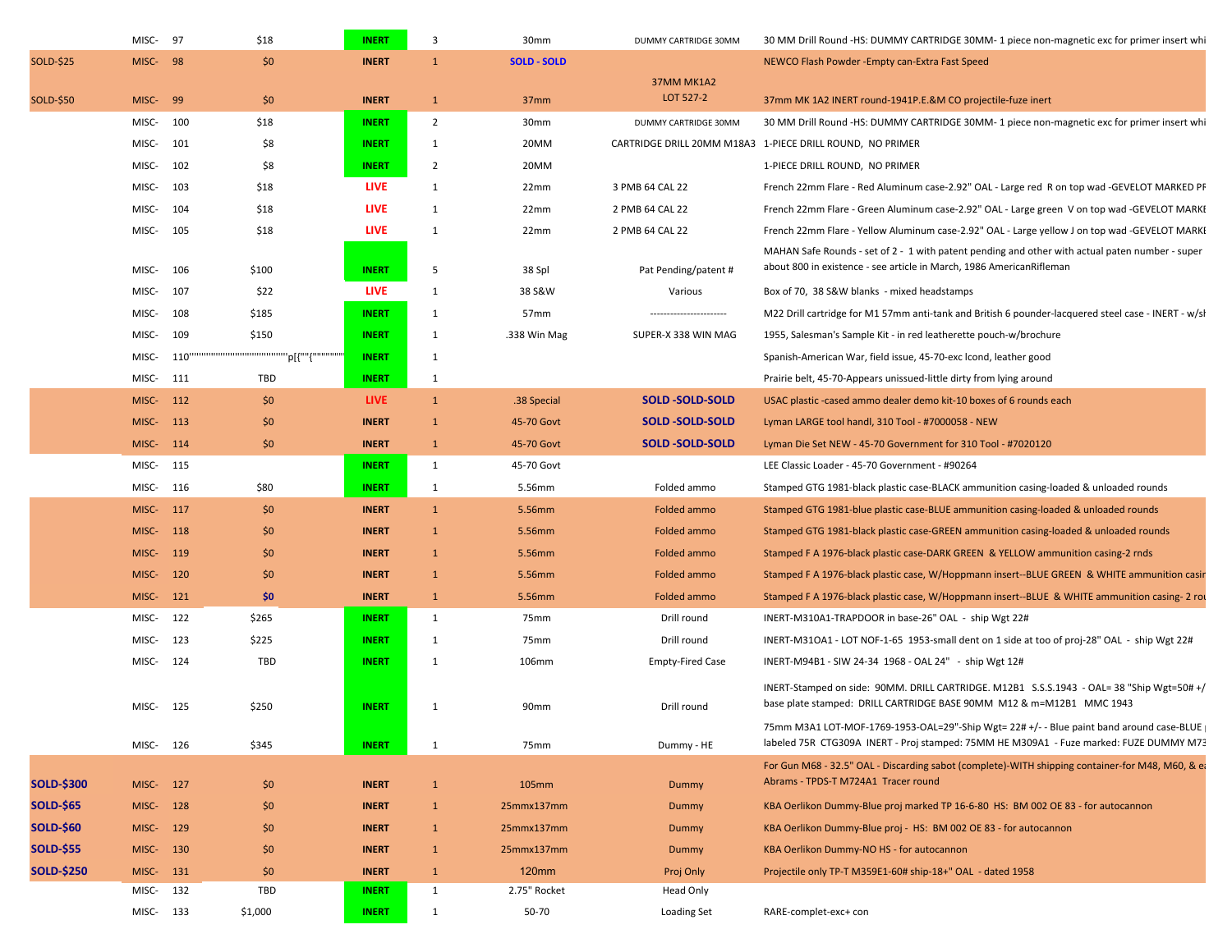|                   | MISC-     | 97   | \$18    | <b>INERT</b> | 3              | 30mm               | DUMMY CARTRIDGE 30MM    | 30 MM Drill Round -HS: DUMMY CARTRIDGE 30MM- 1 piece non-magnetic exc for primer insert whi                                                                                        |
|-------------------|-----------|------|---------|--------------|----------------|--------------------|-------------------------|------------------------------------------------------------------------------------------------------------------------------------------------------------------------------------|
| <b>SOLD-\$25</b>  | MISC-     | -98  | \$0     | <b>INERT</b> | $\mathbf{1}$   | <b>SOLD - SOLD</b> |                         | NEWCO Flash Powder - Empty can-Extra Fast Speed                                                                                                                                    |
| SOLD-\$50         | MISC-     | 99   | \$0     | <b>INERT</b> | $\mathbf{1}$   | 37mm               | 37MM MK1A2<br>LOT 527-2 | 37mm MK 1A2 INERT round-1941P.E.&M CO projectile-fuze inert                                                                                                                        |
|                   | MISC-     | 100  | \$18    | <b>INERT</b> | $\overline{2}$ | 30mm               | DUMMY CARTRIDGE 30MM    | 30 MM Drill Round -HS: DUMMY CARTRIDGE 30MM- 1 piece non-magnetic exc for primer insert whi                                                                                        |
|                   | MISC-     | 101  | \$8     | <b>INERT</b> | 1              | 20MM               |                         | CARTRIDGE DRILL 20MM M18A3 1-PIECE DRILL ROUND, NO PRIMER                                                                                                                          |
|                   | MISC-     | 102  | \$8     | <b>INERT</b> | $\overline{2}$ | 20MM               |                         | 1-PIECE DRILL ROUND, NO PRIMER                                                                                                                                                     |
|                   | MISC-     | 103  | \$18    | <b>LIVE</b>  | 1              | 22mm               | 3 PMB 64 CAL 22         | French 22mm Flare - Red Aluminum case-2.92" OAL - Large red R on top wad -GEVELOT MARKED PF                                                                                        |
|                   | MISC-     | 104  | \$18    | <b>LIVE</b>  | 1              | 22mm               | 2 PMB 64 CAL 22         | French 22mm Flare - Green Aluminum case-2.92" OAL - Large green V on top wad -GEVELOT MARKE                                                                                        |
|                   | MISC-     | 105  | \$18    | <b>LIVE</b>  | 1              | 22mm               | 2 PMB 64 CAL 22         | French 22mm Flare - Yellow Aluminum case-2.92" OAL - Large yellow J on top wad -GEVELOT MARKI                                                                                      |
|                   | MISC-     | 106  | \$100   | <b>INERT</b> | 5              | 38 Spl             | Pat Pending/patent #    | MAHAN Safe Rounds - set of 2 - 1 with patent pending and other with actual paten number - super<br>about 800 in existence - see article in March, 1986 AmericanRifleman            |
|                   | MISC-     | 107  | \$22    | <b>LIVE</b>  | 1              | 38 S&W             | Various                 | Box of 70, 38 S&W blanks - mixed headstamps                                                                                                                                        |
|                   | MISC-     | 108  | \$185   | <b>INERT</b> | 1              | 57 <sub>mm</sub>   |                         | M22 Drill cartridge for M1 57mm anti-tank and British 6 pounder-lacquered steel case - INERT - w/sl                                                                                |
|                   | MISC-     | 109  | \$150   | <b>INERT</b> | 1              | .338 Win Mag       | SUPER-X 338 WIN MAG     | 1955, Salesman's Sample Kit - in red leatherette pouch-w/brochure                                                                                                                  |
|                   | MISC-     | 110" |         | <b>INERT</b> | 1              |                    |                         | Spanish-American War, field issue, 45-70-exc lcond, leather good                                                                                                                   |
|                   | MISC-     | 111  | TBD     | <b>INERT</b> | 1              |                    |                         | Prairie belt, 45-70-Appears unissued-little dirty from lying around                                                                                                                |
|                   | MISC-     | 112  | \$0     | <b>LIVE</b>  | $\mathbf{1}$   | .38 Special        | <b>SOLD-SOLD-SOLD</b>   | USAC plastic -cased ammo dealer demo kit-10 boxes of 6 rounds each                                                                                                                 |
|                   | MISC-     | 113  | \$0     | <b>INERT</b> | $\mathbf{1}$   | 45-70 Govt         | <b>SOLD -SOLD-SOLD</b>  | Lyman LARGE tool handl, 310 Tool - #7000058 - NEW                                                                                                                                  |
|                   | MISC-     | 114  | \$0     | <b>INERT</b> | $\mathbf{1}$   | 45-70 Govt         | <b>SOLD-SOLD-SOLD</b>   | Lyman Die Set NEW - 45-70 Government for 310 Tool - #7020120                                                                                                                       |
|                   | MISC-     | 115  |         | <b>INERT</b> | $\mathbf{1}$   | 45-70 Govt         |                         | LEE Classic Loader - 45-70 Government - #90264                                                                                                                                     |
|                   | MISC-     | 116  | \$80    | <b>INERT</b> | 1              | 5.56mm             | Folded ammo             | Stamped GTG 1981-black plastic case-BLACK ammunition casing-loaded & unloaded rounds                                                                                               |
|                   | MISC-     | 117  | \$0     | <b>INERT</b> | $\mathbf{1}$   | 5.56mm             | Folded ammo             | Stamped GTG 1981-blue plastic case-BLUE ammunition casing-loaded & unloaded rounds                                                                                                 |
|                   | MISC-     | 118  | \$0     | <b>INERT</b> | $\mathbf{1}$   | 5.56mm             | Folded ammo             | Stamped GTG 1981-black plastic case-GREEN ammunition casing-loaded & unloaded rounds                                                                                               |
|                   | MISC-     | 119  | \$0     | <b>INERT</b> | $\mathbf{1}$   | 5.56mm             | Folded ammo             | Stamped F A 1976-black plastic case-DARK GREEN & YELLOW ammunition casing-2 rnds                                                                                                   |
|                   | MISC-     | 120  | \$0     | <b>INERT</b> | 1              | 5.56mm             | Folded ammo             | Stamped F A 1976-black plastic case, W/Hoppmann insert--BLUE GREEN & WHITE ammunition casir                                                                                        |
|                   | MISC-     | 121  | \$0     | <b>INERT</b> | $\mathbf{1}$   | 5.56mm             | Folded ammo             | Stamped F A 1976-black plastic case, W/Hoppmann insert--BLUE & WHITE ammunition casing-2 ro                                                                                        |
|                   | MISC-     | 122  | \$265   | <b>INERT</b> | 1              | 75mm               | Drill round             | INERT-M310A1-TRAPDOOR in base-26" OAL - ship Wgt 22#                                                                                                                               |
|                   | MISC-     | 123  | \$225   | <b>INERT</b> | 1              | 75mm               | Drill round             | INERT-M31OA1 - LOT NOF-1-65 1953-small dent on 1 side at too of proj-28" OAL - ship Wgt 22#                                                                                        |
|                   | MISC-     | 124  | TBD     | <b>INERT</b> | 1              | 106mm              | <b>Empty-Fired Case</b> | INERT-M94B1 - SIW 24-34 1968 - OAL 24" - ship Wgt 12#                                                                                                                              |
|                   |           |      |         |              |                |                    |                         |                                                                                                                                                                                    |
|                   | MISC-     | 125  | \$250   | <b>INERT</b> | 1              | 90mm               | Drill round             | INERT-Stamped on side: 90MM. DRILL CARTRIDGE. M12B1 S.S.S.1943 - OAL= 38 "Ship Wgt=50# +/<br>base plate stamped: DRILL CARTRIDGE BASE 90MM M12 & m=M12B1 MMC 1943                  |
|                   | MISC- 126 |      | \$345   | <b>INERT</b> | 1              | 75mm               | Dummy - HE              | 75mm M3A1 LOT-MOF-1769-1953-OAL=29"-Ship Wgt= 22# +/- - Blue paint band around case-BLUE<br>labeled 75R CTG309A INERT - Proj stamped: 75MM HE M309A1 - Fuze marked: FUZE DUMMY M73 |
| <b>SOLD-\$300</b> | MISC-     | 127  | \$0     | <b>INERT</b> | $\mathbf{1}$   | <b>105mm</b>       | Dummy                   | For Gun M68 - 32.5" OAL - Discarding sabot (complete)-WITH shipping container-for M48, M60, & ea<br>Abrams - TPDS-T M724A1 Tracer round                                            |
| <b>SOLD-\$65</b>  | MISC- 128 |      | \$0     | <b>INERT</b> | $\mathbf{1}$   | 25mmx137mm         | Dummy                   | KBA Oerlikon Dummy-Blue proj marked TP 16-6-80 HS: BM 002 OE 83 - for autocannon                                                                                                   |
| <b>SOLD-\$60</b>  | MISC- 129 |      | \$0     | <b>INERT</b> | $\mathbf{1}$   | 25mmx137mm         | Dummy                   | KBA Oerlikon Dummy-Blue proj - HS: BM 002 OE 83 - for autocannon                                                                                                                   |
| <b>SOLD-\$55</b>  | MISC-     | 130  | \$0     | <b>INERT</b> | $\mathbf{1}$   | 25mmx137mm         | Dummy                   | KBA Oerlikon Dummy-NO HS - for autocannon                                                                                                                                          |
| <b>SOLD-\$250</b> | MISC- 131 |      | \$0     | <b>INERT</b> | $\mathbf{1}$   | 120mm              | Proj Only               | Projectile only TP-T M359E1-60# ship-18+" OAL - dated 1958                                                                                                                         |
|                   | MISC- 132 |      | TBD     | <b>INERT</b> | 1              | 2.75" Rocket       | Head Only               |                                                                                                                                                                                    |
|                   | MISC- 133 |      | \$1,000 | <b>INERT</b> | 1              | 50-70              | Loading Set             | RARE-complet-exc+ con                                                                                                                                                              |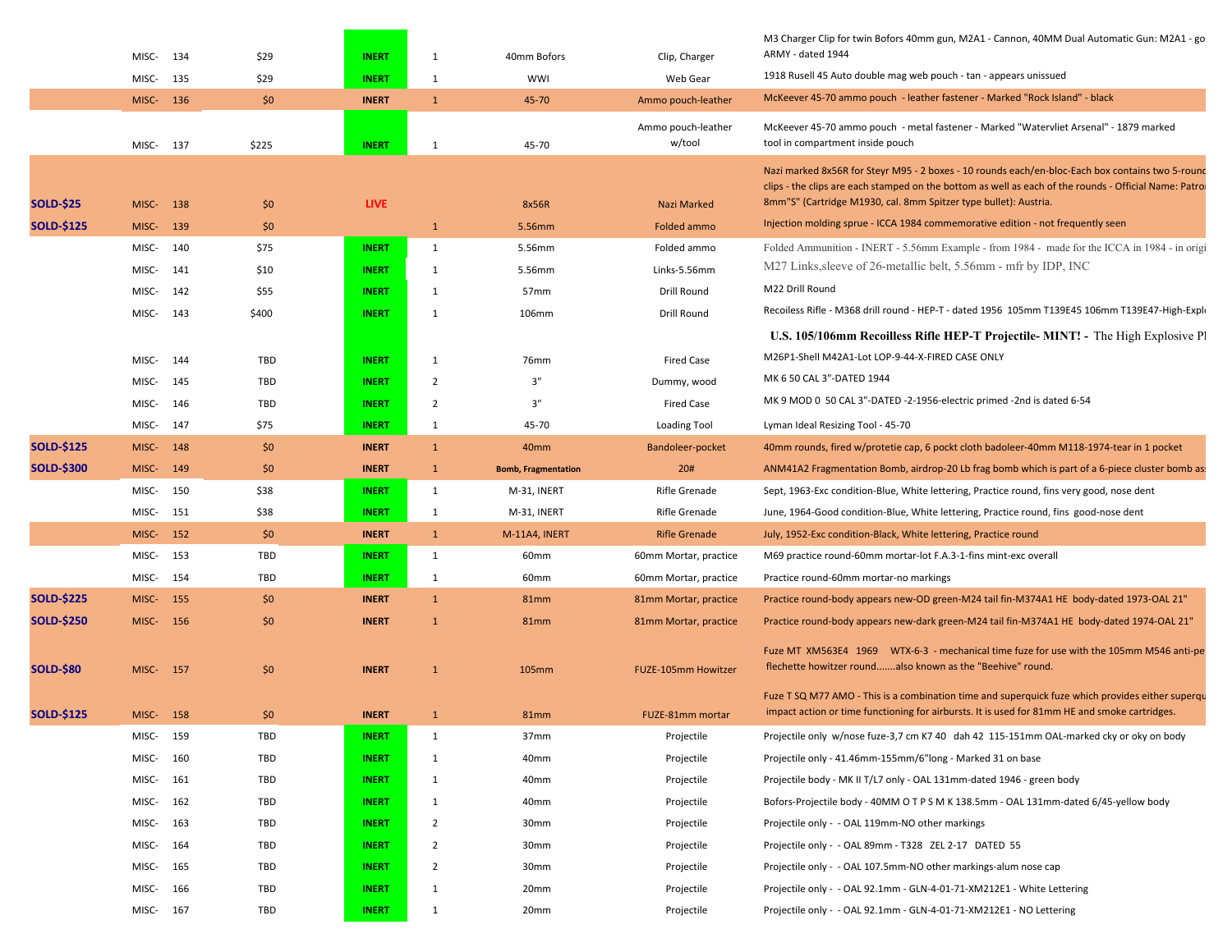|                   | MISC-     | 134   | \$29  | <b>INERT</b> | -1             | 40mm Bofors                | Clip, Charger                | M3 Charger Clip for twin Bofors 40mm gun, M2A1 - Cannon, 40MM Dual Automatic Gun: M2A1 - go<br>ARMY - dated 1944                                                                                                                                                              |
|-------------------|-----------|-------|-------|--------------|----------------|----------------------------|------------------------------|-------------------------------------------------------------------------------------------------------------------------------------------------------------------------------------------------------------------------------------------------------------------------------|
|                   | MISC-     | 135   | \$29  | <b>INERT</b> | $\mathbf{1}$   | <b>WWI</b>                 | Web Gear                     | 1918 Rusell 45 Auto double mag web pouch - tan - appears unissued                                                                                                                                                                                                             |
|                   | MISC- 136 |       | \$0   | <b>INERT</b> | $\mathbf{1}$   | 45-70                      | Ammo pouch-leather           | McKeever 45-70 ammo pouch - leather fastener - Marked "Rock Island" - black                                                                                                                                                                                                   |
|                   | MISC-     | 137   | \$225 | <b>INERT</b> | 1              | 45-70                      | Ammo pouch-leather<br>w/tool | McKeever 45-70 ammo pouch - metal fastener - Marked "Watervliet Arsenal" - 1879 marked<br>tool in compartment inside pouch                                                                                                                                                    |
| <b>SOLD-\$25</b>  | MISC-     | 138   | \$0   | <b>LIVE</b>  |                | 8x56R                      | Nazi Marked                  | Nazi marked 8x56R for Steyr M95 - 2 boxes - 10 rounds each/en-bloc-Each box contains two 5-round<br>clips - the clips are each stamped on the bottom as well as each of the rounds - Official Name: Patro<br>8mm"S" (Cartridge M1930, cal. 8mm Spitzer type bullet): Austria. |
| <b>SOLD-\$125</b> | MISC-     | 139   | \$0   |              | $\mathbf{1}$   | 5.56mm                     | <b>Folded ammo</b>           | Injection molding sprue - ICCA 1984 commemorative edition - not frequently seen                                                                                                                                                                                               |
|                   | MISC-     | 140   | \$75  | <b>INERT</b> | $\mathbf{1}$   | 5.56mm                     | Folded ammo                  | Folded Ammunition - INERT - 5.56mm Example - from 1984 - made for the ICCA in 1984 - in origi                                                                                                                                                                                 |
|                   | MISC-     | 141   | \$10  | <b>INERT</b> | 1              | 5.56mm                     | Links-5.56mm                 | M27 Links, sleeve of 26-metallic belt, 5.56mm - mfr by IDP, INC                                                                                                                                                                                                               |
|                   | MISC-     | 142   | \$55  | <b>INERT</b> | $\mathbf{1}$   | 57 <sub>mm</sub>           | Drill Round                  | M22 Drill Round                                                                                                                                                                                                                                                               |
|                   | MISC-     | 143   | \$400 | <b>INERT</b> | 1              | 106mm                      | Drill Round                  | Recoiless Rifle - M368 drill round - HEP-T - dated 1956 105mm T139E45 106mm T139E47-High-Explo                                                                                                                                                                                |
|                   |           |       |       |              |                |                            |                              | U.S. 105/106mm Recoilless Rifle HEP-T Projectile-MINT! - The High Explosive P                                                                                                                                                                                                 |
|                   | MISC-     | 144   | TBD   | <b>INERT</b> | 1              | 76mm                       | <b>Fired Case</b>            | M26P1-Shell M42A1-Lot LOP-9-44-X-FIRED CASE ONLY                                                                                                                                                                                                                              |
|                   | MISC-     | 145   | TBD   | <b>INERT</b> | 2              | 3"                         | Dummy, wood                  | MK 6 50 CAL 3"-DATED 1944                                                                                                                                                                                                                                                     |
|                   | MISC-     | 146   | TBD   | <b>INERT</b> | $\overline{2}$ | 3"                         | <b>Fired Case</b>            | MK 9 MOD 0 50 CAL 3"-DATED -2-1956-electric primed -2nd is dated 6-54                                                                                                                                                                                                         |
|                   | MISC-     | 147   | \$75  | <b>INERT</b> | 1              | 45-70                      | Loading Tool                 | Lyman Ideal Resizing Tool - 45-70                                                                                                                                                                                                                                             |
| <b>SOLD-\$125</b> | MISC-     | 148   | \$0   | <b>INERT</b> | $\mathbf{1}$   | 40mm                       | Bandoleer-pocket             | 40mm rounds, fired w/protetie cap, 6 pockt cloth badoleer-40mm M118-1974-tear in 1 pocket                                                                                                                                                                                     |
| <b>SOLD-\$300</b> | MISC-     | 149   | \$0   | <b>INERT</b> | $\mathbf{1}$   | <b>Bomb, Fragmentation</b> | 20#                          | ANM41A2 Fragmentation Bomb, airdrop-20 Lb frag bomb which is part of a 6-piece cluster bomb as!                                                                                                                                                                               |
|                   | MISC-     | 150   | \$38  | <b>INERT</b> | $\mathbf{1}$   | M-31, INERT                | Rifle Grenade                | Sept, 1963-Exc condition-Blue, White lettering, Practice round, fins very good, nose dent                                                                                                                                                                                     |
|                   | MISC-     | 151   | \$38  | <b>INERT</b> | $\mathbf{1}$   | M-31, INERT                | Rifle Grenade                | June, 1964-Good condition-Blue, White lettering, Practice round, fins good-nose dent                                                                                                                                                                                          |
|                   | MISC-     | 152   | \$0   | <b>INERT</b> | $\mathbf{1}$   | M-11A4, INERT              | <b>Rifle Grenade</b>         | July, 1952-Exc condition-Black, White lettering, Practice round                                                                                                                                                                                                               |
|                   | MISC-     | 153   | TBD   | <b>INERT</b> | $\mathbf{1}$   | 60 <sub>mm</sub>           | 60mm Mortar, practice        | M69 practice round-60mm mortar-lot F.A.3-1-fins mint-exc overall                                                                                                                                                                                                              |
|                   | MISC-     | 154   | TBD   | <b>INERT</b> | 1              | 60mm                       | 60mm Mortar, practice        | Practice round-60mm mortar-no markings                                                                                                                                                                                                                                        |
| <b>SOLD-\$225</b> | MISC-     | 155   | \$0   | <b>INERT</b> | $\mathbf{1}$   | 81 <sub>mm</sub>           | 81mm Mortar, practice        | Practice round-body appears new-OD green-M24 tail fin-M374A1 HE body-dated 1973-OAL 21"                                                                                                                                                                                       |
| <b>SOLD-\$250</b> | MISC- 156 |       | \$0   | <b>INERT</b> | $\overline{1}$ | 81mm                       | 81mm Mortar, practice        | Practice round-body appears new-dark green-M24 tail fin-M374A1 HE body-dated 1974-OAL 21"                                                                                                                                                                                     |
|                   |           |       |       |              |                |                            |                              | Fuze MT XM563E4 1969 WTX-6-3 - mechanical time fuze for use with the 105mm M546 anti-pe                                                                                                                                                                                       |
| <b>SOLD-\$80</b>  | MISC-     | - 157 | \$0   | <b>INERT</b> | $\mathbf{1}$   | 105mm                      | <b>FUZE-105mm Howitzer</b>   | flechette howitzer roundalso known as the "Beehive" round.                                                                                                                                                                                                                    |
| <b>SOLD-\$125</b> | MISC- 158 |       | \$0   | <b>INERT</b> | $\mathbf{1}$   | 81mm                       | FUZE-81mm mortar             | Fuze T SQ M77 AMO - This is a combination time and superquick fuze which provides either superqu<br>impact action or time functioning for airbursts. It is used for 81mm HE and smoke cartridges.                                                                             |
|                   | MISC-     | 159   | TBD   | <b>INERT</b> | $\mathbf{1}$   | 37mm                       | Projectile                   | Projectile only w/nose fuze-3,7 cm K7 40 dah 42 115-151mm OAL-marked cky or oky on body                                                                                                                                                                                       |
|                   | MISC-     | 160   | TBD   | <b>INERT</b> | -1             | 40mm                       | Projectile                   | Projectile only - 41.46mm-155mm/6"long - Marked 31 on base                                                                                                                                                                                                                    |
|                   | MISC-     | 161   | TBD   | <b>INERT</b> | $\mathbf{1}$   | 40mm                       | Projectile                   | Projectile body - MK II T/L7 only - OAL 131mm-dated 1946 - green body                                                                                                                                                                                                         |
|                   | MISC-     | 162   | TBD   | <b>INERT</b> | 1              | 40mm                       | Projectile                   | Bofors-Projectile body - 40MM O T P S M K 138.5mm - OAL 131mm-dated 6/45-yellow body                                                                                                                                                                                          |
|                   | MISC-     | 163   | TBD   | <b>INERT</b> | $\overline{2}$ | 30mm                       | Projectile                   | Projectile only - - OAL 119mm-NO other markings                                                                                                                                                                                                                               |
|                   | MISC-     | 164   | TBD   | <b>INERT</b> | $\overline{2}$ | 30mm                       | Projectile                   | Projectile only - - OAL 89mm - T328 ZEL 2-17 DATED 55                                                                                                                                                                                                                         |
|                   | MISC-     | 165   | TBD   | <b>INERT</b> | $\overline{2}$ | 30mm                       | Projectile                   | Projectile only - - OAL 107.5mm-NO other markings-alum nose cap                                                                                                                                                                                                               |
|                   | MISC-     | 166   | TBD   | <b>INERT</b> | 1              | 20mm                       | Projectile                   | Projectile only - - OAL 92.1mm - GLN-4-01-71-XM212E1 - White Lettering                                                                                                                                                                                                        |
|                   | MISC- 167 |       | TBD   | <b>INERT</b> | 1              | 20mm                       | Projectile                   | Projectile only - - OAL 92.1mm - GLN-4-01-71-XM212E1 - NO Lettering                                                                                                                                                                                                           |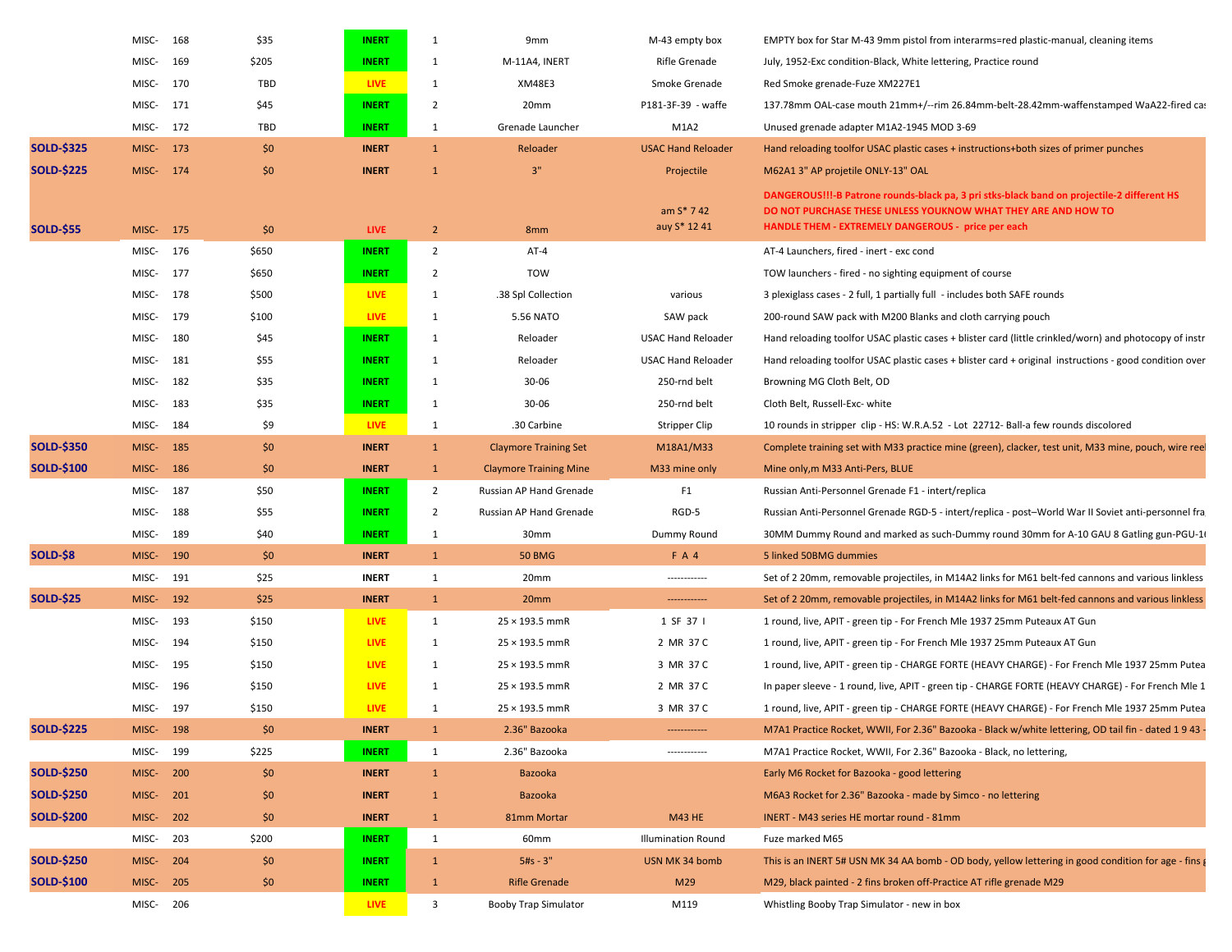|                   | MISC-     | 168 | \$35  | <b>INERT</b> | 1              | 9 <sub>mm</sub>               | M-43 empty box              | EMPTY box for Star M-43 9mm pistol from interarms=red plastic-manual, cleaning items                                                                                                                              |
|-------------------|-----------|-----|-------|--------------|----------------|-------------------------------|-----------------------------|-------------------------------------------------------------------------------------------------------------------------------------------------------------------------------------------------------------------|
|                   | MISC-     | 169 | \$205 | <b>INERT</b> | 1              | M-11A4, INERT                 | Rifle Grenade               | July, 1952-Exc condition-Black, White lettering, Practice round                                                                                                                                                   |
|                   | MISC-     | 170 | TBD   | <b>LIVE</b>  | $\mathbf{1}$   | <b>XM48E3</b>                 | Smoke Grenade               | Red Smoke grenade-Fuze XM227E1                                                                                                                                                                                    |
|                   | MISC-     | 171 | \$45  | <b>INERT</b> | $\overline{2}$ | 20mm                          | P181-3F-39 - waffe          | 137.78mm OAL-case mouth 21mm+/--rim 26.84mm-belt-28.42mm-waffenstamped WaA22-fired cas                                                                                                                            |
|                   | MISC-     | 172 | TBD   | <b>INERT</b> | 1              | Grenade Launcher              | M1A2                        | Unused grenade adapter M1A2-1945 MOD 3-69                                                                                                                                                                         |
| <b>SOLD-\$325</b> | MISC-     | 173 | \$0   | <b>INERT</b> | $\mathbf{1}$   | Reloader                      | <b>USAC Hand Reloader</b>   | Hand reloading toolfor USAC plastic cases + instructions+both sizes of primer punches                                                                                                                             |
| <b>SOLD-\$225</b> | MISC- 174 |     | \$0   | <b>INERT</b> | $\mathbf{1}$   | 3"                            | Projectile                  | M62A1 3" AP projetile ONLY-13" OAL                                                                                                                                                                                |
| <b>SOLD-\$55</b>  | MISC-     | 175 | \$0   | <b>LIVE</b>  | $\overline{2}$ | 8 <sub>mm</sub>               | am $S* 742$<br>auy S* 12 41 | DANGEROUS!!!-B Patrone rounds-black pa, 3 pri stks-black band on projectile-2 different HS<br>DO NOT PURCHASE THESE UNLESS YOUKNOW WHAT THEY ARE AND HOW TO<br>HANDLE THEM - EXTREMELY DANGEROUS - price per each |
|                   | MISC-     | 176 | \$650 | <b>INERT</b> | $\overline{2}$ | AT-4                          |                             | AT-4 Launchers, fired - inert - exc cond                                                                                                                                                                          |
|                   | MISC-     | 177 | \$650 | <b>INERT</b> | $\overline{2}$ | <b>TOW</b>                    |                             | TOW launchers - fired - no sighting equipment of course                                                                                                                                                           |
|                   | MISC-     | 178 | \$500 | <b>LIVE</b>  | 1              | .38 Spl Collection            | various                     | 3 plexiglass cases - 2 full, 1 partially full - includes both SAFE rounds                                                                                                                                         |
|                   | MISC-     | 179 | \$100 | <b>LIVE</b>  | $\mathbf{1}$   | 5.56 NATO                     | SAW pack                    | 200-round SAW pack with M200 Blanks and cloth carrying pouch                                                                                                                                                      |
|                   | MISC-     | 180 | \$45  | <b>INERT</b> | 1              | Reloader                      | <b>USAC Hand Reloader</b>   | Hand reloading toolfor USAC plastic cases + blister card (little crinkled/worn) and photocopy of instr                                                                                                            |
|                   | MISC-     | 181 | \$55  | <b>INERT</b> | 1              | Reloader                      | <b>USAC Hand Reloader</b>   | Hand reloading toolfor USAC plastic cases + blister card + original instructions - good condition over                                                                                                            |
|                   | MISC-     | 182 | \$35  | <b>INERT</b> | 1              | 30-06                         | 250-rnd belt                | Browning MG Cloth Belt, OD                                                                                                                                                                                        |
|                   | MISC-     | 183 | \$35  | <b>INERT</b> | 1              | 30-06                         | 250-rnd belt                | Cloth Belt, Russell-Exc-white                                                                                                                                                                                     |
|                   | MISC-     | 184 | \$9   | <b>LIVE</b>  | 1              | .30 Carbine                   | Stripper Clip               | 10 rounds in stripper clip - HS: W.R.A.52 - Lot 22712- Ball-a few rounds discolored                                                                                                                               |
| <b>SOLD-\$350</b> | MISC-     | 185 | \$0   | <b>INERT</b> | $\mathbf{1}$   | <b>Claymore Training Set</b>  | M18A1/M33                   | Complete training set with M33 practice mine (green), clacker, test unit, M33 mine, pouch, wire reel                                                                                                              |
| <b>SOLD-\$100</b> | MISC-     | 186 | \$0   | <b>INERT</b> | $\mathbf{1}$   | <b>Claymore Training Mine</b> | M33 mine only               | Mine only, m M33 Anti-Pers, BLUE                                                                                                                                                                                  |
|                   | MISC-     | 187 | \$50  | <b>INERT</b> | $\overline{2}$ | Russian AP Hand Grenade       | F <sub>1</sub>              | Russian Anti-Personnel Grenade F1 - intert/replica                                                                                                                                                                |
|                   | MISC-     | 188 | \$55  | <b>INERT</b> | $\overline{2}$ | Russian AP Hand Grenade       | RGD-5                       | Russian Anti-Personnel Grenade RGD-5 - intert/replica - post-World War II Soviet anti-personnel fra                                                                                                               |
|                   | MISC-     | 189 | \$40  | <b>INERT</b> | 1              | 30 <sub>mm</sub>              | Dummy Round                 | 30MM Dummy Round and marked as such-Dummy round 30mm for A-10 GAU 8 Gatling gun-PGU-16                                                                                                                            |
| SOLD-\$8          | MISC-     | 190 | \$0   | <b>INERT</b> | $\mathbf{1}$   | <b>50 BMG</b>                 | <b>FA4</b>                  | 5 linked 50BMG dummies                                                                                                                                                                                            |
|                   | MISC-     | 191 | \$25  | <b>INERT</b> | $\mathbf{1}$   | 20mm                          |                             | Set of 2 20mm, removable projectiles, in M14A2 links for M61 belt-fed cannons and various linkless                                                                                                                |
| <b>SOLD-\$25</b>  | MISC-     | 192 | \$25  | <b>INERT</b> | $\mathbf{1}$   | 20mm                          | -------------               | Set of 2 20mm, removable projectiles, in M14A2 links for M61 belt-fed cannons and various linkless                                                                                                                |
|                   | MISC-     | 193 | \$150 | <b>LIVE</b>  | $\mathbf{1}$   | $25 \times 193.5$ mmR         | 1 SF 37 I                   | 1 round, live, APIT - green tip - For French Mle 1937 25mm Puteaux AT Gun                                                                                                                                         |
|                   | MISC-     | 194 | \$150 | <b>LIVE</b>  | 1              | 25 × 193.5 mmR                | 2 MR 37 C                   | 1 round, live, APIT - green tip - For French Mle 1937 25mm Puteaux AT Gun                                                                                                                                         |
|                   | MISC-     | 195 | \$150 | <b>LIVE</b>  | 1              | 25 × 193.5 mmR                | 3 MR 37 C                   | 1 round, live, APIT - green tip - CHARGE FORTE (HEAVY CHARGE) - For French Mle 1937 25mm Putea                                                                                                                    |
|                   | MISC-     | 196 | \$150 | <b>LIVE</b>  | 1              | 25 × 193.5 mmR                | 2 MR 37 C                   | In paper sleeve - 1 round, live, APIT - green tip - CHARGE FORTE (HEAVY CHARGE) - For French Mle 1                                                                                                                |
|                   | MISC-     | 197 | \$150 | <b>LIVE</b>  | 1              | 25 × 193.5 mmR                | 3 MR 37 C                   | 1 round, live, APIT - green tip - CHARGE FORTE (HEAVY CHARGE) - For French Mle 1937 25mm Putea                                                                                                                    |
| <b>SOLD-\$225</b> | MISC-     | 198 | Ş0    | <b>INERT</b> | $\mathbf{1}$   | 2.36" Bazooka                 | -------------               | M7A1 Practice Rocket, WWII, For 2.36" Bazooka - Black w/white lettering, OD tail fin - dated 1943 -                                                                                                               |
|                   | MISC-     | 199 | \$225 | <b>INERT</b> | $\mathbf{1}$   | 2.36" Bazooka                 | -------------               | M7A1 Practice Rocket, WWII, For 2.36" Bazooka - Black, no lettering,                                                                                                                                              |
| <b>SOLD-\$250</b> | MISC-     | 200 | \$0   | <b>INERT</b> | $\mathbf{1}$   | Bazooka                       |                             | Early M6 Rocket for Bazooka - good lettering                                                                                                                                                                      |
| <b>SOLD-\$250</b> | MISC-     | 201 | \$0   | <b>INERT</b> | $\mathbf{1}$   | Bazooka                       |                             | M6A3 Rocket for 2.36" Bazooka - made by Simco - no lettering                                                                                                                                                      |
| SOLD-\$200        | MISC-     | 202 | \$0   | <b>INERT</b> | $\mathbf{1}$   | 81mm Mortar                   | <b>M43 HE</b>               | INERT - M43 series HE mortar round - 81mm                                                                                                                                                                         |
|                   | MISC-     | 203 | \$200 | <b>INERT</b> | $\mathbf{1}$   | 60mm                          | <b>Illumination Round</b>   | Fuze marked M65                                                                                                                                                                                                   |
| <b>SOLD-\$250</b> | MISC-     | 204 | \$0   | <b>INERT</b> | $\mathbf{1}$   | $5#s - 3"$                    | USN MK 34 bomb              | This is an INERT 5# USN MK 34 AA bomb - OD body, yellow lettering in good condition for age - fins g                                                                                                              |
| SOLD-\$100        | MISC-     | 205 | \$0   | <b>INERT</b> | $\mathbf{1}$   | <b>Rifle Grenade</b>          | M29                         | M29, black painted - 2 fins broken off-Practice AT rifle grenade M29                                                                                                                                              |
|                   | MISC-     | 206 |       | <b>LIVE</b>  | 3              | <b>Booby Trap Simulator</b>   | M119                        | Whistling Booby Trap Simulator - new in box                                                                                                                                                                       |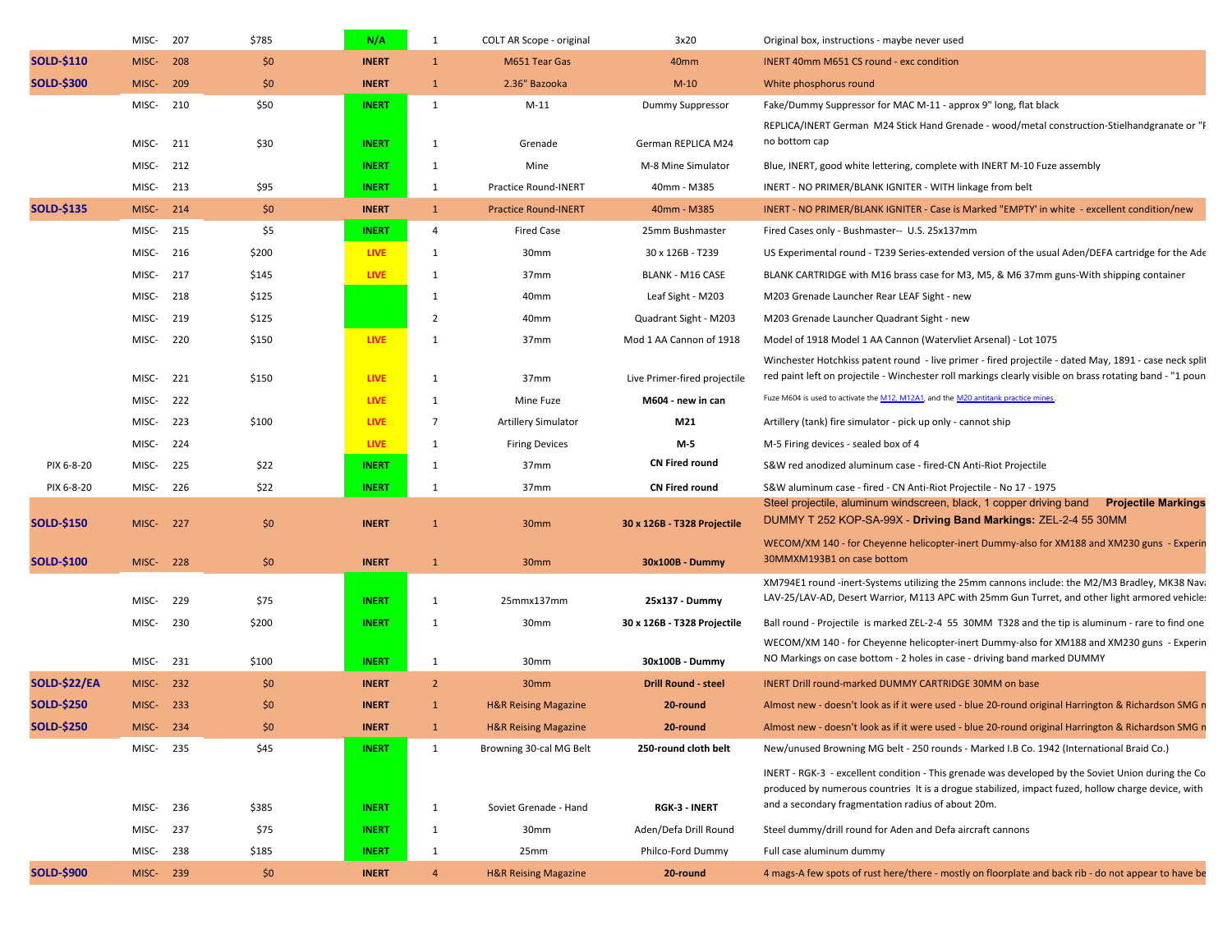|                     | MISC-     | 207 | \$785 | N/A          | $\mathbf{1}$   | COLT AR Scope - original        | 3x20                         | Original box, instructions - maybe never used                                                                                                                        |
|---------------------|-----------|-----|-------|--------------|----------------|---------------------------------|------------------------------|----------------------------------------------------------------------------------------------------------------------------------------------------------------------|
| <b>SOLD-\$110</b>   | MISC-     | 208 | \$0   | <b>INERT</b> | $\mathbf{1}$   | M651 Tear Gas                   | 40mm                         | INERT 40mm M651 CS round - exc condition                                                                                                                             |
| <b>SOLD-\$300</b>   | MISC-     | 209 | \$0   | <b>INERT</b> | $\mathbf{1}$   | 2.36" Bazooka                   | $M-10$                       | White phosphorus round                                                                                                                                               |
|                     | MISC-     | 210 | \$50  | <b>INERT</b> | 1              | $M-11$                          | Dummy Suppressor             | Fake/Dummy Suppressor for MAC M-11 - approx 9" long, flat black                                                                                                      |
|                     |           |     |       |              |                |                                 |                              | REPLICA/INERT German M24 Stick Hand Grenade - wood/metal construction-Stielhandgranate or "F                                                                         |
|                     | MISC-     | 211 | \$30  | <b>INERT</b> | 1              | Grenade                         | German REPLICA M24           | no bottom cap                                                                                                                                                        |
|                     | MISC-     | 212 |       | <b>INERT</b> | 1              | Mine                            | M-8 Mine Simulator           | Blue, INERT, good white lettering, complete with INERT M-10 Fuze assembly                                                                                            |
|                     | MISC-     | 213 | \$95  | <b>INERT</b> | $\mathbf{1}$   | <b>Practice Round-INERT</b>     | 40mm - M385                  | INERT - NO PRIMER/BLANK IGNITER - WITH linkage from belt                                                                                                             |
| <b>SOLD-\$135</b>   | MISC-     | 214 | \$0   | <b>INERT</b> | $\mathbf{1}$   | <b>Practice Round-INERT</b>     | 40mm - M385                  | INERT - NO PRIMER/BLANK IGNITER - Case is Marked "EMPTY' in white - excellent condition/new                                                                          |
|                     | MISC-     | 215 | \$5   | <b>INERT</b> | 4              | <b>Fired Case</b>               | 25mm Bushmaster              | Fired Cases only - Bushmaster-- U.S. 25x137mm                                                                                                                        |
|                     | MISC-     | 216 | \$200 | <b>LIVE</b>  | 1              | 30 <sub>mm</sub>                | 30 x 126B - T239             | US Experimental round - T239 Series-extended version of the usual Aden/DEFA cartridge for the Ade                                                                    |
|                     | MISC-     | 217 | \$145 | <b>LIVE</b>  | 1              | 37 <sub>mm</sub>                | <b>BLANK - M16 CASE</b>      | BLANK CARTRIDGE with M16 brass case for M3, M5, & M6 37mm guns-With shipping container                                                                               |
|                     | MISC-     | 218 | \$125 |              | 1              | 40 <sub>mm</sub>                | Leaf Sight - M203            | M203 Grenade Launcher Rear LEAF Sight - new                                                                                                                          |
|                     | MISC-     | 219 | \$125 |              | $\overline{2}$ | 40mm                            | Quadrant Sight - M203        | M203 Grenade Launcher Quadrant Sight - new                                                                                                                           |
|                     | MISC-     | 220 | \$150 | <b>LIVE</b>  | 1              | 37mm                            | Mod 1 AA Cannon of 1918      | Model of 1918 Model 1 AA Cannon (Watervliet Arsenal) - Lot 1075                                                                                                      |
|                     |           |     |       |              |                |                                 |                              | Winchester Hotchkiss patent round - live primer - fired projectile - dated May, 1891 - case neck split                                                               |
|                     | MISC-     | 221 | \$150 | LIVE         | 1              | 37 <sub>mm</sub>                | Live Primer-fired projectile | red paint left on projectile - Winchester roll markings clearly visible on brass rotating band - "1 poun                                                             |
|                     | MISC-     | 222 |       | LIVE         | 1              | Mine Fuze                       | M604 - new in can            | Fuze M604 is used to activate the M12, M12A1, and the M20 antitank practice mines                                                                                    |
|                     | MISC-     | 223 | \$100 | LIVE         | $\overline{7}$ | <b>Artillery Simulator</b>      | M21                          | Artillery (tank) fire simulator - pick up only - cannot ship                                                                                                         |
|                     | MISC-     | 224 |       | <b>LIVE</b>  | 1              | <b>Firing Devices</b>           | M-5                          | M-5 Firing devices - sealed box of 4                                                                                                                                 |
| PIX 6-8-20          | MISC-     | 225 | \$22  | <b>INERT</b> | 1              | 37 <sub>mm</sub>                | <b>CN Fired round</b>        | S&W red anodized aluminum case - fired-CN Anti-Riot Projectile                                                                                                       |
| PIX 6-8-20          | MISC-     | 226 | \$22  | <b>INERT</b> | 1              | 37 <sub>mm</sub>                | <b>CN Fired round</b>        | S&W aluminum case - fired - CN Anti-Riot Projectile - No 17 - 1975                                                                                                   |
| <b>SOLD-\$150</b>   | MISC-     | 227 | \$0   | <b>INERT</b> | $\mathbf{1}$   | 30 <sub>mm</sub>                | 30 x 126B - T328 Projectile  | Steel projectile, aluminum windscreen, black, 1 copper driving band<br><b>Projectile Markings</b><br>DUMMY T 252 KOP-SA-99X - Driving Band Markings: ZEL-2-4 55 30MM |
|                     |           |     |       |              |                |                                 |                              | WECOM/XM 140 - for Cheyenne helicopter-inert Dummy-also for XM188 and XM230 guns - Experin                                                                           |
| <b>SOLD-\$100</b>   | MISC-     | 228 | \$0   | <b>INERT</b> | $\mathbf{1}$   | 30mm                            | 30x100B - Dummy              | 30MMXM193B1 on case bottom                                                                                                                                           |
|                     |           |     |       |              |                |                                 |                              | XM794E1 round -inert-Systems utilizing the 25mm cannons include: the M2/M3 Bradley, MK38 Nava                                                                        |
|                     | MISC-     | 229 | \$75  | <b>INERT</b> | 1              | 25mmx137mm                      | 25x137 - Dummy               | LAV-25/LAV-AD, Desert Warrior, M113 APC with 25mm Gun Turret, and other light armored vehicles                                                                       |
|                     | MISC-     | 230 | \$200 | <b>INERT</b> | 1              | 30mm                            | 30 x 126B - T328 Projectile  | Ball round - Projectile is marked ZEL-2-4 55 30MM T328 and the tip is aluminum - rare to find one                                                                    |
|                     |           |     |       |              |                |                                 |                              | WECOM/XM 140 - for Cheyenne helicopter-inert Dummy-also for XM188 and XM230 guns - Experin                                                                           |
|                     | MISC-     | 231 | \$100 | <b>INERT</b> | $\mathbf{1}$   | 30mm                            | 30x100B - Dummy              | NO Markings on case bottom - 2 holes in case - driving band marked DUMMY                                                                                             |
| <b>SOLD-\$22/EA</b> | MISC-     | 232 | \$0   | <b>INERT</b> | $\overline{2}$ | 30mm                            | <b>Drill Round - steel</b>   | INERT Drill round-marked DUMMY CARTRIDGE 30MM on base                                                                                                                |
| <b>SOLD-\$250</b>   | MISC-     | 233 | \$0   | <b>INERT</b> | $\mathbf{1}$   | <b>H&amp;R Reising Magazine</b> | 20-round                     | Almost new - doesn't look as if it were used - blue 20-round original Harrington & Richardson SMG n                                                                  |
| <b>SOLD-\$250</b>   | MISC-     | 234 | \$0   | <b>INERT</b> | $\mathbf{1}$   | <b>H&amp;R Reising Magazine</b> | 20-round                     | Almost new - doesn't look as if it were used - blue 20-round original Harrington & Richardson SMG n                                                                  |
|                     | MISC- 235 |     | \$45  | <b>INERT</b> | 1              | Browning 30-cal MG Belt         | 250-round cloth belt         | New/unused Browning MG belt - 250 rounds - Marked I.B Co. 1942 (International Braid Co.)                                                                             |
|                     |           |     |       |              |                |                                 |                              | INERT - RGK-3 - excellent condition - This grenade was developed by the Soviet Union during the Co                                                                   |
|                     | MISC-     | 236 | \$385 | <b>INERT</b> | 1              | Soviet Grenade - Hand           | <b>RGK-3 - INERT</b>         | produced by numerous countries It is a drogue stabilized, impact fuzed, hollow charge device, with<br>and a secondary fragmentation radius of about 20m.             |
|                     | MISC-     | 237 | \$75  | <b>INERT</b> | 1              | 30mm                            | Aden/Defa Drill Round        | Steel dummy/drill round for Aden and Defa aircraft cannons                                                                                                           |
|                     | MISC-     | 238 | \$185 | <b>INERT</b> | 1              | 25mm                            | Philco-Ford Dummy            | Full case aluminum dummy                                                                                                                                             |
| <b>SOLD-\$900</b>   | MISC- 239 |     | \$0   | <b>INERT</b> | $\overline{4}$ | <b>H&amp;R Reising Magazine</b> | 20-round                     | 4 mags-A few spots of rust here/there - mostly on floorplate and back rib - do not appear to have be                                                                 |
|                     |           |     |       |              |                |                                 |                              |                                                                                                                                                                      |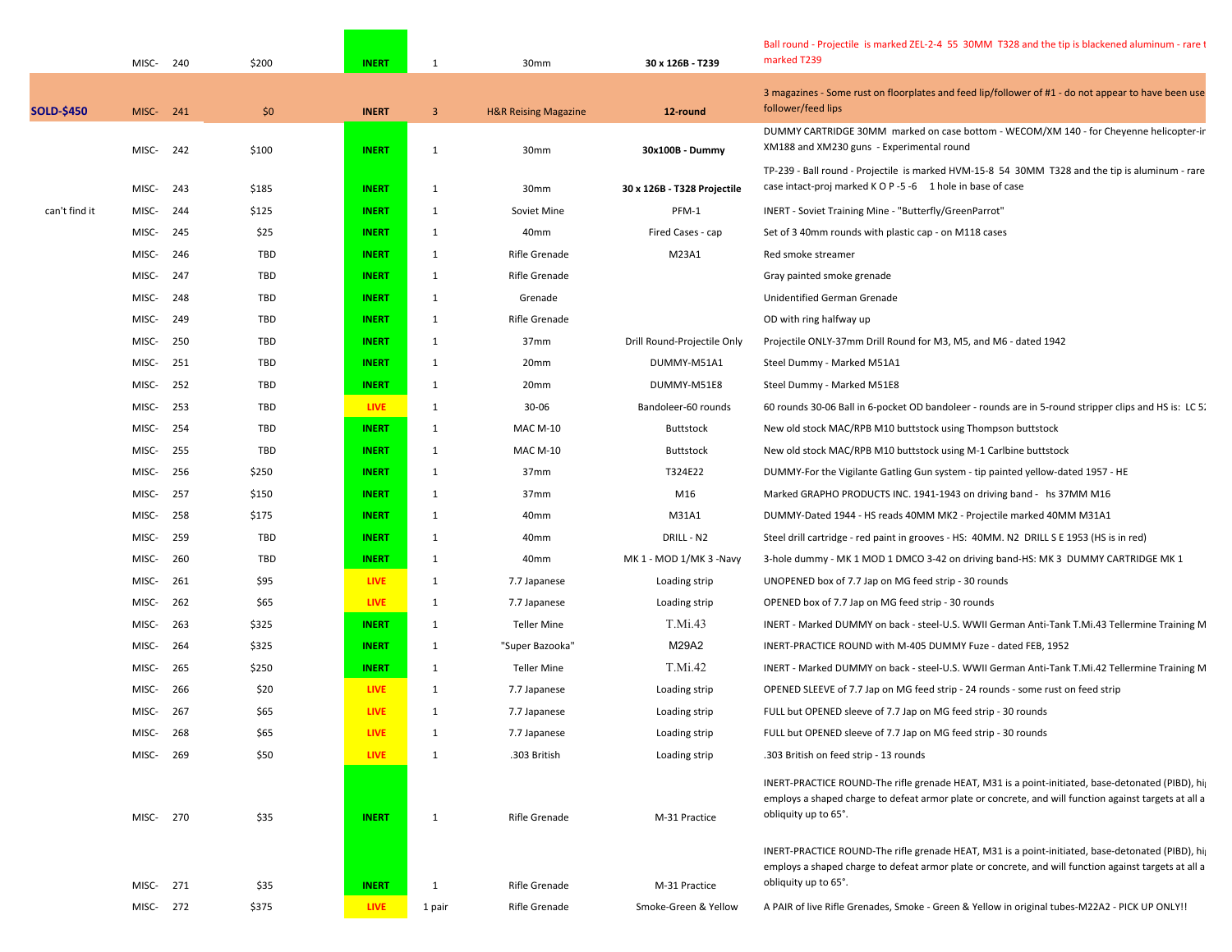|                   | MISC-     | 240 | \$200      | <b>INERT</b> | $\mathbf{1}$            | 30mm                            | 30 x 126B - T239            | Ball round - Projectile is marked ZEL-2-4 55 30MM T328 and the tip is blackened aluminum - rare t<br>marked T239                                                                                                                               |
|-------------------|-----------|-----|------------|--------------|-------------------------|---------------------------------|-----------------------------|------------------------------------------------------------------------------------------------------------------------------------------------------------------------------------------------------------------------------------------------|
| <b>SOLD-\$450</b> | MISC- 241 |     | \$0        | <b>INERT</b> | $\overline{\mathbf{3}}$ | <b>H&amp;R Reising Magazine</b> | 12-round                    | 3 magazines - Some rust on floorplates and feed lip/follower of #1 - do not appear to have been use<br>follower/feed lips                                                                                                                      |
|                   | MISC-     | 242 | \$100      | <b>INERT</b> | 1                       | 30mm                            | 30x100B - Dummy             | DUMMY CARTRIDGE 30MM marked on case bottom - WECOM/XM 140 - for Cheyenne helicopter-ir<br>XM188 and XM230 guns - Experimental round                                                                                                            |
|                   | MISC-     | 243 | \$185      | <b>INERT</b> | 1                       | 30mm                            | 30 x 126B - T328 Projectile | TP-239 - Ball round - Projectile is marked HVM-15-8 54 30MM T328 and the tip is aluminum - rare<br>case intact-proj marked K O P -5 -6 1 hole in base of case                                                                                  |
| can't find it     | MISC-     | 244 | \$125      | <b>INERT</b> | 1                       | Soviet Mine                     | PFM-1                       | INERT - Soviet Training Mine - "Butterfly/GreenParrot"                                                                                                                                                                                         |
|                   | MISC-     | 245 | \$25       | <b>INERT</b> | 1                       | 40mm                            | Fired Cases - cap           | Set of 3 40mm rounds with plastic cap - on M118 cases                                                                                                                                                                                          |
|                   | MISC-     | 246 | TBD        | <b>INERT</b> | 1                       | Rifle Grenade                   | M23A1                       | Red smoke streamer                                                                                                                                                                                                                             |
|                   | MISC-     | 247 | TBD        | <b>INERT</b> | 1                       | <b>Rifle Grenade</b>            |                             | Gray painted smoke grenade                                                                                                                                                                                                                     |
|                   | MISC-     | 248 | TBD        | <b>INERT</b> | 1                       | Grenade                         |                             | Unidentified German Grenade                                                                                                                                                                                                                    |
|                   | MISC-     | 249 | TBD        | <b>INERT</b> | 1                       | Rifle Grenade                   |                             | OD with ring halfway up                                                                                                                                                                                                                        |
|                   | MISC-     | 250 | TBD        | <b>INERT</b> | 1                       | 37 <sub>mm</sub>                | Drill Round-Projectile Only | Projectile ONLY-37mm Drill Round for M3, M5, and M6 - dated 1942                                                                                                                                                                               |
|                   | MISC-     | 251 | TBD        | <b>INERT</b> | 1                       | 20mm                            | DUMMY-M51A1                 | Steel Dummy - Marked M51A1                                                                                                                                                                                                                     |
|                   | MISC-     | 252 | TBD        | <b>INERT</b> | 1                       | 20mm                            | DUMMY-M51E8                 | Steel Dummy - Marked M51E8                                                                                                                                                                                                                     |
|                   | MISC-     | 253 | TBD        | <b>LIVE</b>  | 1                       | 30-06                           | Bandoleer-60 rounds         | 60 rounds 30-06 Ball in 6-pocket OD bandoleer - rounds are in 5-round stripper clips and HS is: LC 5.                                                                                                                                          |
|                   | MISC-     | 254 | TBD        | <b>INERT</b> | 1                       | <b>MAC M-10</b>                 | <b>Buttstock</b>            | New old stock MAC/RPB M10 buttstock using Thompson buttstock                                                                                                                                                                                   |
|                   | MISC-     | 255 | TBD        | <b>INERT</b> | 1                       | <b>MAC M-10</b>                 | Buttstock                   | New old stock MAC/RPB M10 buttstock using M-1 Carlbine buttstock                                                                                                                                                                               |
|                   | MISC-     | 256 | \$250      | <b>INERT</b> | 1                       | 37 <sub>mm</sub>                | T324E22                     | DUMMY-For the Vigilante Gatling Gun system - tip painted yellow-dated 1957 - HE                                                                                                                                                                |
|                   | MISC-     | 257 | \$150      | <b>INERT</b> | 1                       | 37 <sub>mm</sub>                | M16                         | Marked GRAPHO PRODUCTS INC. 1941-1943 on driving band - hs 37MM M16                                                                                                                                                                            |
|                   | MISC-     | 258 | \$175      | <b>INERT</b> | 1                       | 40mm                            | M31A1                       | DUMMY-Dated 1944 - HS reads 40MM MK2 - Projectile marked 40MM M31A1                                                                                                                                                                            |
|                   | MISC-     | 259 | TBD        | <b>INERT</b> | 1                       | 40mm                            | DRILL - N2                  | Steel drill cartridge - red paint in grooves - HS: 40MM. N2 DRILL S E 1953 (HS is in red)                                                                                                                                                      |
|                   | MISC-     | 260 | <b>TBD</b> | <b>INERT</b> | 1                       | 40mm                            | MK 1 - MOD 1/MK 3 -Navy     | 3-hole dummy - MK 1 MOD 1 DMCO 3-42 on driving band-HS: MK 3 DUMMY CARTRIDGE MK 1                                                                                                                                                              |
|                   | MISC-     | 261 | \$95       | <b>LIVE</b>  | 1                       | 7.7 Japanese                    | Loading strip               | UNOPENED box of 7.7 Jap on MG feed strip - 30 rounds                                                                                                                                                                                           |
|                   | MISC-     | 262 | \$65       | <b>LIVE</b>  | 1                       | 7.7 Japanese                    | Loading strip               | OPENED box of 7.7 Jap on MG feed strip - 30 rounds                                                                                                                                                                                             |
|                   | MISC-     | 263 | \$325      | <b>INERT</b> | $\mathbf{1}$            | <b>Teller Mine</b>              | T.Mi.43                     | INERT - Marked DUMMY on back - steel-U.S. WWII German Anti-Tank T.Mi.43 Tellermine Training M                                                                                                                                                  |
|                   | MISC-     | 264 | \$325      | <b>INERT</b> | 1                       | "Super Bazooka"                 | M29A2                       | INERT-PRACTICE ROUND with M-405 DUMMY Fuze - dated FEB, 1952                                                                                                                                                                                   |
|                   | MISC-     | 265 | \$250      | <b>INERT</b> | 1                       | <b>Teller Mine</b>              | T.Mi.42                     | INERT - Marked DUMMY on back - steel-U.S. WWII German Anti-Tank T.Mi.42 Tellermine Training M                                                                                                                                                  |
|                   | MISC-     | 266 | \$20       | <b>LIVE</b>  | 1                       | 7.7 Japanese                    | Loading strip               | OPENED SLEEVE of 7.7 Jap on MG feed strip - 24 rounds - some rust on feed strip                                                                                                                                                                |
|                   | MISC-     | 267 | \$65       | <b>LIVE</b>  | 1                       | 7.7 Japanese                    | Loading strip               | FULL but OPENED sleeve of 7.7 Jap on MG feed strip - 30 rounds                                                                                                                                                                                 |
|                   | MISC-     | 268 | \$65       | LIVE:        | -1                      | 7.7 Japanese                    | Loading strip               | FULL but OPENED sleeve of 7.7 Jap on MG feed strip - 30 rounds                                                                                                                                                                                 |
|                   | MISC- 269 |     | \$50       | <b>LIVE</b>  | $\mathbf{1}$            | .303 British                    | Loading strip               | .303 British on feed strip - 13 rounds                                                                                                                                                                                                         |
|                   | MISC- 270 |     | \$35       | <b>INERT</b> | $\mathbf{1}$            | <b>Rifle Grenade</b>            | M-31 Practice               | INERT-PRACTICE ROUND-The rifle grenade HEAT, M31 is a point-initiated, base-detonated (PIBD), hij<br>employs a shaped charge to defeat armor plate or concrete, and will function against targets at all a<br>obliquity up to 65°.             |
|                   | MISC- 271 |     | \$35       | <b>INERT</b> | 1                       | Rifle Grenade                   | M-31 Practice               | INERT-PRACTICE ROUND-The rifle grenade HEAT, M31 is a point-initiated, base-detonated (PIBD), hi <sub>l</sub><br>employs a shaped charge to defeat armor plate or concrete, and will function against targets at all a<br>obliquity up to 65°. |
|                   | MISC- 272 |     | \$375      | <b>LIVE</b>  | 1 pair                  | Rifle Grenade                   | Smoke-Green & Yellow        | A PAIR of live Rifle Grenades, Smoke - Green & Yellow in original tubes-M22A2 - PICK UP ONLY!!                                                                                                                                                 |